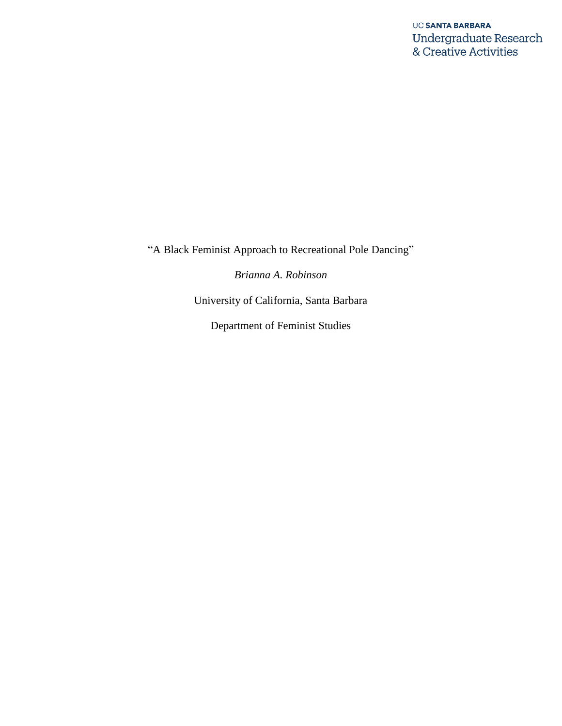"A Black Feminist Approach to Recreational Pole Dancing"

*Brianna A. Robinson*

University of California, Santa Barbara

Department of Feminist Studies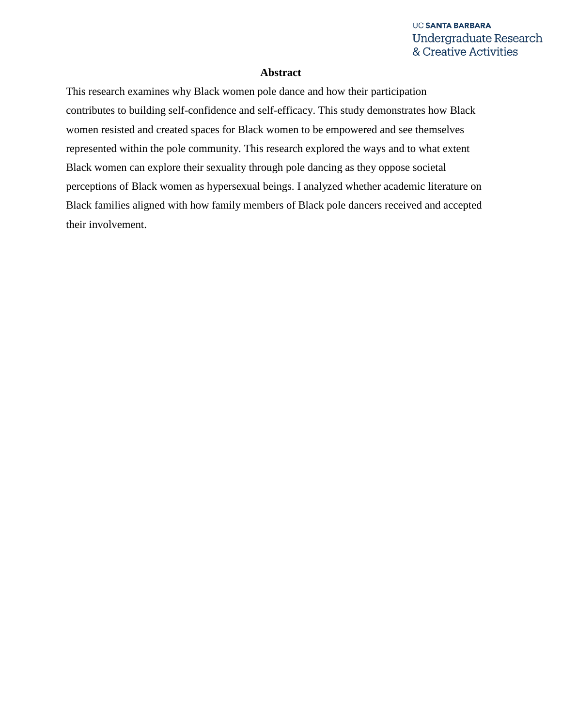### **Abstract**

This research examines why Black women pole dance and how their participation contributes to building self-confidence and self-efficacy. This study demonstrates how Black women resisted and created spaces for Black women to be empowered and see themselves represented within the pole community. This research explored the ways and to what extent Black women can explore their sexuality through pole dancing as they oppose societal perceptions of Black women as hypersexual beings. I analyzed whether academic literature on Black families aligned with how family members of Black pole dancers received and accepted their involvement.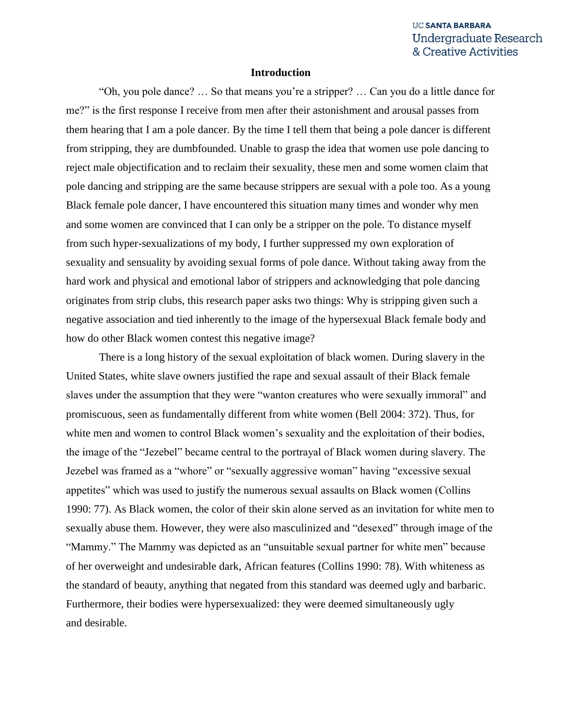### **Introduction**

"Oh, you pole dance? … So that means you're a stripper? … Can you do a little dance for me?" is the first response I receive from men after their astonishment and arousal passes from them hearing that I am a pole dancer. By the time I tell them that being a pole dancer is different from stripping, they are dumbfounded. Unable to grasp the idea that women use pole dancing to reject male objectification and to reclaim their sexuality, these men and some women claim that pole dancing and stripping are the same because strippers are sexual with a pole too. As a young Black female pole dancer, I have encountered this situation many times and wonder why men and some women are convinced that I can only be a stripper on the pole. To distance myself from such hyper-sexualizations of my body, I further suppressed my own exploration of sexuality and sensuality by avoiding sexual forms of pole dance. Without taking away from the hard work and physical and emotional labor of strippers and acknowledging that pole dancing originates from strip clubs, this research paper asks two things: Why is stripping given such a negative association and tied inherently to the image of the hypersexual Black female body and how do other Black women contest this negative image?

There is a long history of the sexual exploitation of black women. During slavery in the United States, white slave owners justified the rape and sexual assault of their Black female slaves under the assumption that they were "wanton creatures who were sexually immoral" and promiscuous, seen as fundamentally different from white women (Bell 2004: 372). Thus, for white men and women to control Black women's sexuality and the exploitation of their bodies, the image of the "Jezebel" became central to the portrayal of Black women during slavery. The Jezebel was framed as a "whore" or "sexually aggressive woman" having "excessive sexual appetites" which was used to justify the numerous sexual assaults on Black women (Collins 1990: 77). As Black women, the color of their skin alone served as an invitation for white men to sexually abuse them. However, they were also masculinized and "desexed" through image of the "Mammy." The Mammy was depicted as an "unsuitable sexual partner for white men" because of her overweight and undesirable dark, African features (Collins 1990: 78). With whiteness as the standard of beauty, anything that negated from this standard was deemed ugly and barbaric. Furthermore, their bodies were hypersexualized: they were deemed simultaneously ugly and desirable.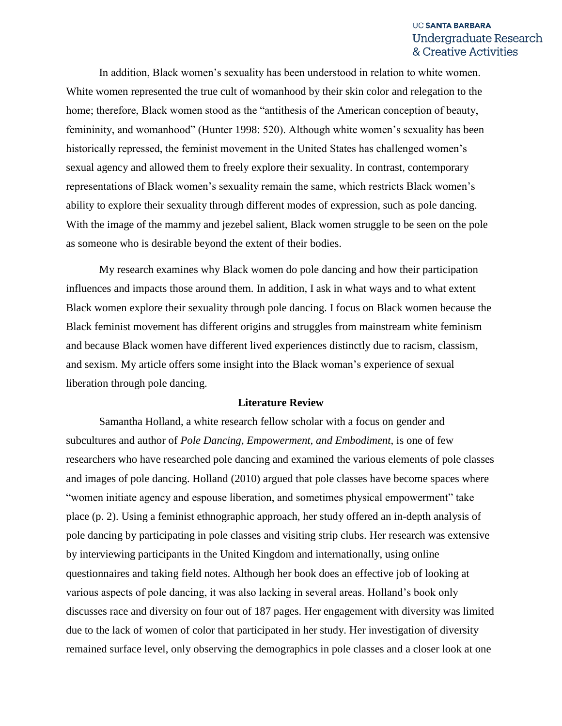In addition, Black women's sexuality has been understood in relation to white women. White women represented the true cult of womanhood by their skin color and relegation to the home; therefore, Black women stood as the "antithesis of the American conception of beauty, femininity, and womanhood" (Hunter 1998: 520). Although white women's sexuality has been historically repressed, the feminist movement in the United States has challenged women's sexual agency and allowed them to freely explore their sexuality. In contrast, contemporary representations of Black women's sexuality remain the same, which restricts Black women's ability to explore their sexuality through different modes of expression, such as pole dancing. With the image of the mammy and jezebel salient, Black women struggle to be seen on the pole as someone who is desirable beyond the extent of their bodies.

My research examines why Black women do pole dancing and how their participation influences and impacts those around them. In addition, I ask in what ways and to what extent Black women explore their sexuality through pole dancing. I focus on Black women because the Black feminist movement has different origins and struggles from mainstream white feminism and because Black women have different lived experiences distinctly due to racism, classism, and sexism. My article offers some insight into the Black woman's experience of sexual liberation through pole dancing.

### **Literature Review**

Samantha Holland, a white research fellow scholar with a focus on gender and subcultures and author of *Pole Dancing, Empowerment, and Embodiment*, is one of few researchers who have researched pole dancing and examined the various elements of pole classes and images of pole dancing. Holland (2010) argued that pole classes have become spaces where "women initiate agency and espouse liberation, and sometimes physical empowerment" take place (p. 2). Using a feminist ethnographic approach, her study offered an in-depth analysis of pole dancing by participating in pole classes and visiting strip clubs. Her research was extensive by interviewing participants in the United Kingdom and internationally, using online questionnaires and taking field notes. Although her book does an effective job of looking at various aspects of pole dancing, it was also lacking in several areas. Holland's book only discusses race and diversity on four out of 187 pages. Her engagement with diversity was limited due to the lack of women of color that participated in her study. Her investigation of diversity remained surface level, only observing the demographics in pole classes and a closer look at one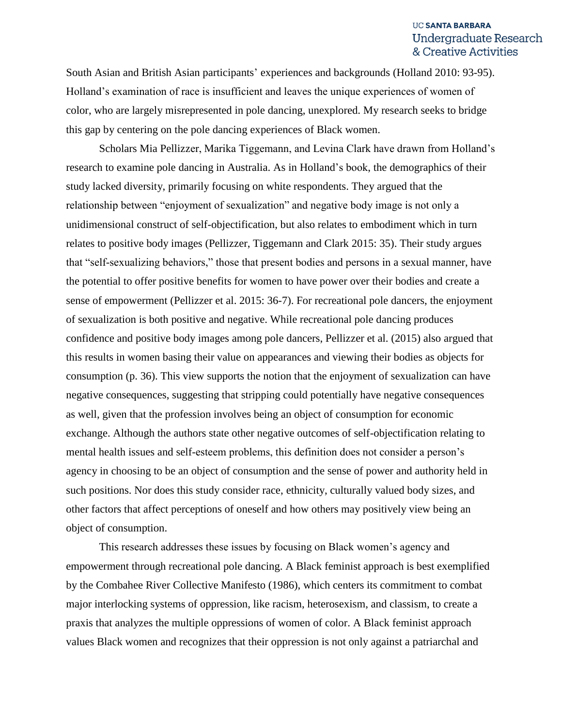South Asian and British Asian participants' experiences and backgrounds (Holland 2010: 93-95). Holland's examination of race is insufficient and leaves the unique experiences of women of color, who are largely misrepresented in pole dancing, unexplored. My research seeks to bridge this gap by centering on the pole dancing experiences of Black women.

Scholars Mia Pellizzer, Marika Tiggemann, and Levina Clark have drawn from Holland's research to examine pole dancing in Australia. As in Holland's book, the demographics of their study lacked diversity, primarily focusing on white respondents. They argued that the relationship between "enjoyment of sexualization" and negative body image is not only a unidimensional construct of self-objectification, but also relates to embodiment which in turn relates to positive body images (Pellizzer, Tiggemann and Clark 2015: 35). Their study argues that "self-sexualizing behaviors," those that present bodies and persons in a sexual manner, have the potential to offer positive benefits for women to have power over their bodies and create a sense of empowerment (Pellizzer et al. 2015: 36-7). For recreational pole dancers, the enjoyment of sexualization is both positive and negative. While recreational pole dancing produces confidence and positive body images among pole dancers, Pellizzer et al. (2015) also argued that this results in women basing their value on appearances and viewing their bodies as objects for consumption (p. 36). This view supports the notion that the enjoyment of sexualization can have negative consequences, suggesting that stripping could potentially have negative consequences as well, given that the profession involves being an object of consumption for economic exchange. Although the authors state other negative outcomes of self-objectification relating to mental health issues and self-esteem problems, this definition does not consider a person's agency in choosing to be an object of consumption and the sense of power and authority held in such positions. Nor does this study consider race, ethnicity, culturally valued body sizes, and other factors that affect perceptions of oneself and how others may positively view being an object of consumption.

This research addresses these issues by focusing on Black women's agency and empowerment through recreational pole dancing. A Black feminist approach is best exemplified by the Combahee River Collective Manifesto (1986), which centers its commitment to combat major interlocking systems of oppression, like racism, heterosexism, and classism, to create a praxis that analyzes the multiple oppressions of women of color. A Black feminist approach values Black women and recognizes that their oppression is not only against a patriarchal and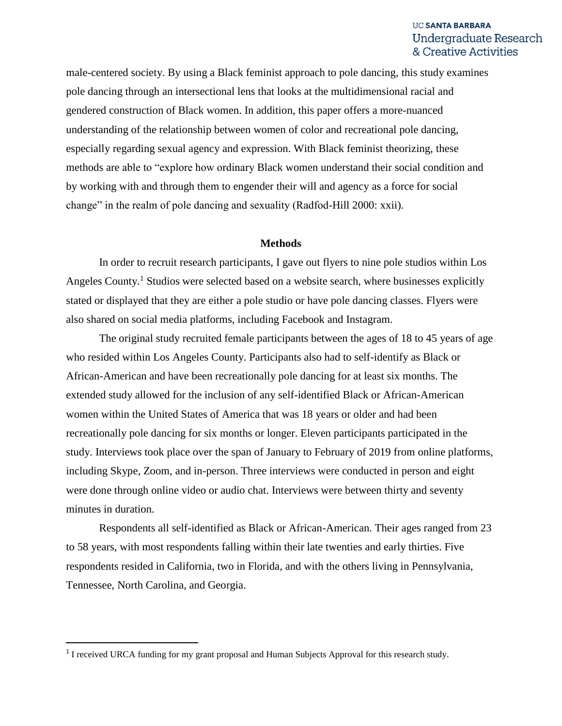male-centered society. By using a Black feminist approach to pole dancing, this study examines pole dancing through an intersectional lens that looks at the multidimensional racial and gendered construction of Black women. In addition, this paper offers a more-nuanced understanding of the relationship between women of color and recreational pole dancing, especially regarding sexual agency and expression. With Black feminist theorizing, these methods are able to "explore how ordinary Black women understand their social condition and by working with and through them to engender their will and agency as a force for social change" in the realm of pole dancing and sexuality (Radfod-Hill 2000: xxii).

### **Methods**

In order to recruit research participants, I gave out flyers to nine pole studios within Los Angeles County.<sup>1</sup> Studios were selected based on a website search, where businesses explicitly stated or displayed that they are either a pole studio or have pole dancing classes. Flyers were also shared on social media platforms, including Facebook and Instagram.

The original study recruited female participants between the ages of 18 to 45 years of age who resided within Los Angeles County. Participants also had to self-identify as Black or African-American and have been recreationally pole dancing for at least six months. The extended study allowed for the inclusion of any self-identified Black or African-American women within the United States of America that was 18 years or older and had been recreationally pole dancing for six months or longer. Eleven participants participated in the study. Interviews took place over the span of January to February of 2019 from online platforms, including Skype, Zoom, and in-person. Three interviews were conducted in person and eight were done through online video or audio chat. Interviews were between thirty and seventy minutes in duration.

Respondents all self-identified as Black or African-American. Their ages ranged from 23 to 58 years, with most respondents falling within their late twenties and early thirties. Five respondents resided in California, two in Florida, and with the others living in Pennsylvania, Tennessee, North Carolina, and Georgia.

 $\overline{\phantom{a}}$ 

<sup>&</sup>lt;sup>1</sup> I received URCA funding for my grant proposal and Human Subjects Approval for this research study.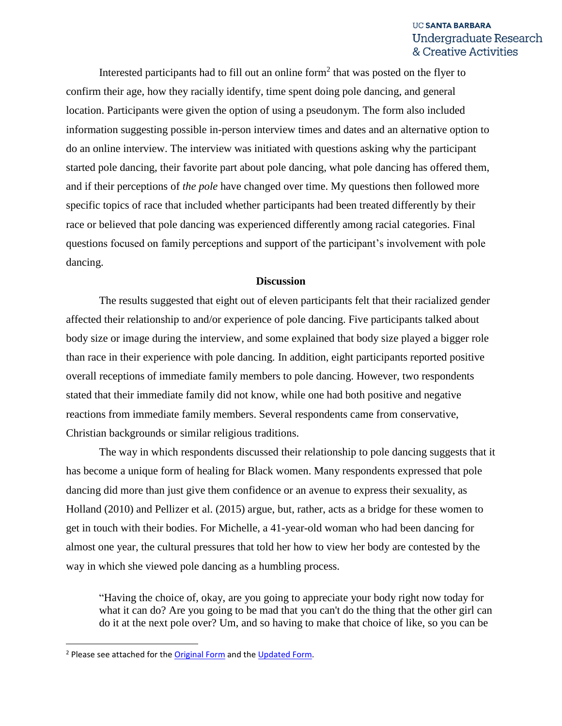Interested participants had to fill out an online form<sup>2</sup> that was posted on the flyer to confirm their age, how they racially identify, time spent doing pole dancing, and general location. Participants were given the option of using a pseudonym. The form also included information suggesting possible in-person interview times and dates and an alternative option to do an online interview. The interview was initiated with questions asking why the participant started pole dancing, their favorite part about pole dancing, what pole dancing has offered them, and if their perceptions of *the pole* have changed over time. My questions then followed more specific topics of race that included whether participants had been treated differently by their race or believed that pole dancing was experienced differently among racial categories. Final questions focused on family perceptions and support of the participant's involvement with pole dancing.

### **Discussion**

The results suggested that eight out of eleven participants felt that their racialized gender affected their relationship to and/or experience of pole dancing. Five participants talked about body size or image during the interview, and some explained that body size played a bigger role than race in their experience with pole dancing. In addition, eight participants reported positive overall receptions of immediate family members to pole dancing. However, two respondents stated that their immediate family did not know, while one had both positive and negative reactions from immediate family members. Several respondents came from conservative, Christian backgrounds or similar religious traditions.

The way in which respondents discussed their relationship to pole dancing suggests that it has become a unique form of healing for Black women. Many respondents expressed that pole dancing did more than just give them confidence or an avenue to express their sexuality, as Holland (2010) and Pellizer et al. (2015) argue, but, rather, acts as a bridge for these women to get in touch with their bodies. For Michelle, a 41-year-old woman who had been dancing for almost one year, the cultural pressures that told her how to view her body are contested by the way in which she viewed pole dancing as a humbling process.

"Having the choice of, okay, are you going to appreciate your body right now today for what it can do? Are you going to be mad that you can't do the thing that the other girl can do it at the next pole over? Um, and so having to make that choice of like, so you can be

 $\overline{\phantom{a}}$ 

<sup>&</sup>lt;sup>2</sup> Please see attached for the [Original Form](file:///C:/Users/sydne/AppData/Roaming/Microsoft/Word/Black%20Women%20and%20Pole%20Dancing%20Research%20Study%20-%20Google%20Forms.pdf) and the [Updated Form.](file:///C:/Users/sydne/AppData/Roaming/Microsoft/Word/Black%20Women%20and%20Pole%20Dancing%20Online%20Research%20Study%20-%20Google%20Forms.pdf)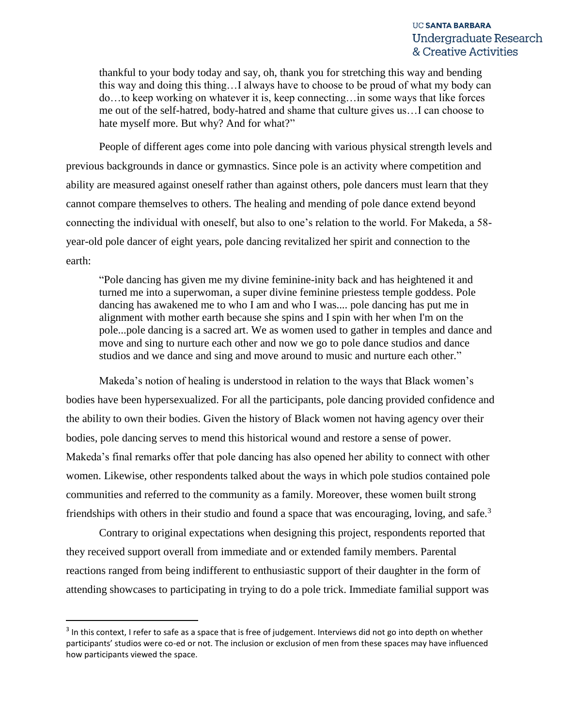thankful to your body today and say, oh, thank you for stretching this way and bending this way and doing this thing…I always have to choose to be proud of what my body can do…to keep working on whatever it is, keep connecting…in some ways that like forces me out of the self-hatred, body-hatred and shame that culture gives us…I can choose to hate myself more. But why? And for what?"

People of different ages come into pole dancing with various physical strength levels and previous backgrounds in dance or gymnastics. Since pole is an activity where competition and ability are measured against oneself rather than against others, pole dancers must learn that they cannot compare themselves to others. The healing and mending of pole dance extend beyond connecting the individual with oneself, but also to one's relation to the world. For Makeda, a 58 year-old pole dancer of eight years, pole dancing revitalized her spirit and connection to the earth:

"Pole dancing has given me my divine feminine-inity back and has heightened it and turned me into a superwoman, a super divine feminine priestess temple goddess. Pole dancing has awakened me to who I am and who I was.... pole dancing has put me in alignment with mother earth because she spins and I spin with her when I'm on the pole...pole dancing is a sacred art. We as women used to gather in temples and dance and move and sing to nurture each other and now we go to pole dance studios and dance studios and we dance and sing and move around to music and nurture each other."

Makeda's notion of healing is understood in relation to the ways that Black women's bodies have been hypersexualized. For all the participants, pole dancing provided confidence and the ability to own their bodies. Given the history of Black women not having agency over their bodies, pole dancing serves to mend this historical wound and restore a sense of power. Makeda's final remarks offer that pole dancing has also opened her ability to connect with other women. Likewise, other respondents talked about the ways in which pole studios contained pole communities and referred to the community as a family. Moreover, these women built strong friendships with others in their studio and found a space that was encouraging, loving, and safe.<sup>3</sup>

Contrary to original expectations when designing this project, respondents reported that they received support overall from immediate and or extended family members. Parental reactions ranged from being indifferent to enthusiastic support of their daughter in the form of attending showcases to participating in trying to do a pole trick. Immediate familial support was

 $\overline{\phantom{a}}$ 

 $3$  In this context, I refer to safe as a space that is free of judgement. Interviews did not go into depth on whether participants' studios were co-ed or not. The inclusion or exclusion of men from these spaces may have influenced how participants viewed the space.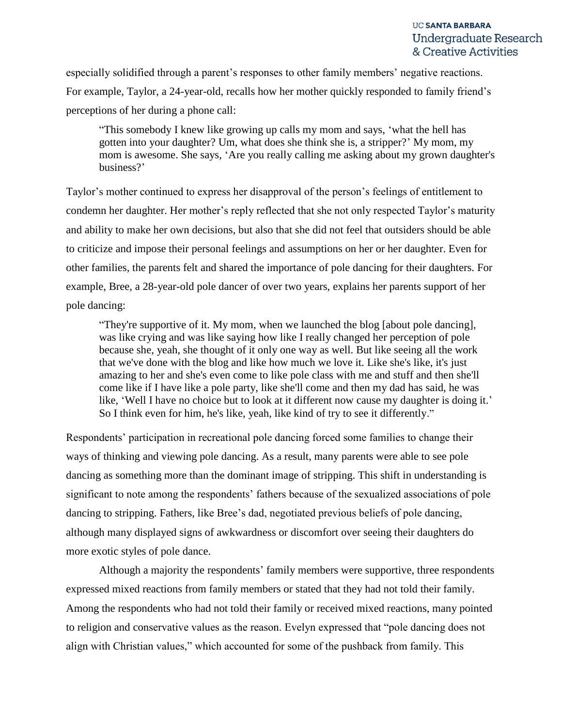especially solidified through a parent's responses to other family members' negative reactions. For example, Taylor, a 24-year-old, recalls how her mother quickly responded to family friend's perceptions of her during a phone call:

"This somebody I knew like growing up calls my mom and says, 'what the hell has gotten into your daughter? Um, what does she think she is, a stripper?' My mom, my mom is awesome. She says, 'Are you really calling me asking about my grown daughter's business?'

Taylor's mother continued to express her disapproval of the person's feelings of entitlement to condemn her daughter. Her mother's reply reflected that she not only respected Taylor's maturity and ability to make her own decisions, but also that she did not feel that outsiders should be able to criticize and impose their personal feelings and assumptions on her or her daughter. Even for other families, the parents felt and shared the importance of pole dancing for their daughters. For example, Bree, a 28-year-old pole dancer of over two years, explains her parents support of her pole dancing:

"They're supportive of it. My mom, when we launched the blog [about pole dancing], was like crying and was like saying how like I really changed her perception of pole because she, yeah, she thought of it only one way as well. But like seeing all the work that we've done with the blog and like how much we love it. Like she's like, it's just amazing to her and she's even come to like pole class with me and stuff and then she'll come like if I have like a pole party, like she'll come and then my dad has said, he was like, 'Well I have no choice but to look at it different now cause my daughter is doing it.' So I think even for him, he's like, yeah, like kind of try to see it differently."

Respondents' participation in recreational pole dancing forced some families to change their ways of thinking and viewing pole dancing. As a result, many parents were able to see pole dancing as something more than the dominant image of stripping. This shift in understanding is significant to note among the respondents' fathers because of the sexualized associations of pole dancing to stripping. Fathers, like Bree's dad, negotiated previous beliefs of pole dancing, although many displayed signs of awkwardness or discomfort over seeing their daughters do more exotic styles of pole dance.

Although a majority the respondents' family members were supportive, three respondents expressed mixed reactions from family members or stated that they had not told their family. Among the respondents who had not told their family or received mixed reactions, many pointed to religion and conservative values as the reason. Evelyn expressed that "pole dancing does not align with Christian values," which accounted for some of the pushback from family. This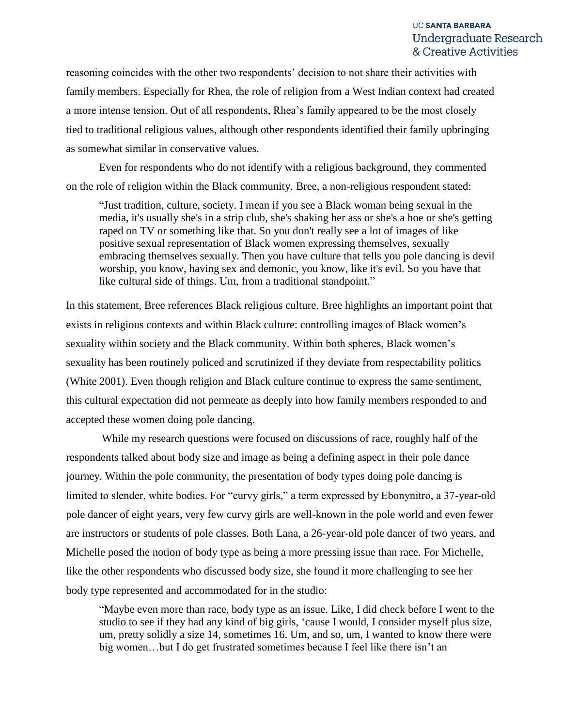reasoning coincides with the other two respondents' decision to not share their activities with family members. Especially for Rhea, the role of religion from a West Indian context had created a more intense tension. Out of all respondents, Rhea's family appeared to be the most closely tied to traditional religious values, although other respondents identified their family upbringing as somewhat similar in conservative values.

Even for respondents who do not identify with a religious background, they commented on the role of religion within the Black community. Bree, a non-religious respondent stated:

"Just tradition, culture, society. I mean if you see a Black woman being sexual in the media, it's usually she's in a strip club, she's shaking her ass or she's a hoe or she's getting raped on TV or something like that. So you don't really see a lot of images of like positive sexual representation of Black women expressing themselves, sexually embracing themselves sexually. Then you have culture that tells you pole dancing is devil worship, you know, having sex and demonic, you know, like it's evil. So you have that like cultural side of things. Um, from a traditional standpoint."

In this statement, Bree references Black religious culture. Bree highlights an important point that exists in religious contexts and within Black culture: controlling images of Black women's sexuality within society and the Black community. Within both spheres, Black women's sexuality has been routinely policed and scrutinized if they deviate from respectability politics (White 2001). Even though religion and Black culture continue to express the same sentiment, this cultural expectation did not permeate as deeply into how family members responded to and accepted these women doing pole dancing.

While my research questions were focused on discussions of race, roughly half of the respondents talked about body size and image as being a defining aspect in their pole dance journey. Within the pole community, the presentation of body types doing pole dancing is limited to slender, white bodies. For "curvy girls," a term expressed by Ebonynitro, a 37-year-old pole dancer of eight years, very few curvy girls are well-known in the pole world and even fewer are instructors or students of pole classes. Both Lana, a 26-year-old pole dancer of two years, and Michelle posed the notion of body type as being a more pressing issue than race. For Michelle, like the other respondents who discussed body size, she found it more challenging to see her body type represented and accommodated for in the studio:

"Maybe even more than race, body type as an issue. Like, I did check before I went to the studio to see if they had any kind of big girls, 'cause I would, I consider myself plus size, um, pretty solidly a size 14, sometimes 16. Um, and so, um, I wanted to know there were big women…but I do get frustrated sometimes because I feel like there isn't an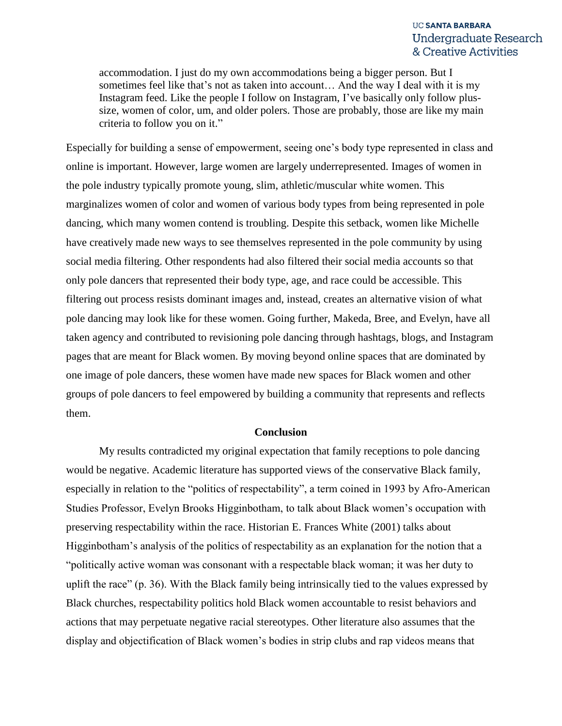accommodation. I just do my own accommodations being a bigger person. But I sometimes feel like that's not as taken into account… And the way I deal with it is my Instagram feed. Like the people I follow on Instagram, I've basically only follow plussize, women of color, um, and older polers. Those are probably, those are like my main criteria to follow you on it."

Especially for building a sense of empowerment, seeing one's body type represented in class and online is important. However, large women are largely underrepresented. Images of women in the pole industry typically promote young, slim, athletic/muscular white women. This marginalizes women of color and women of various body types from being represented in pole dancing, which many women contend is troubling. Despite this setback, women like Michelle have creatively made new ways to see themselves represented in the pole community by using social media filtering. Other respondents had also filtered their social media accounts so that only pole dancers that represented their body type, age, and race could be accessible. This filtering out process resists dominant images and, instead, creates an alternative vision of what pole dancing may look like for these women. Going further, Makeda, Bree, and Evelyn, have all taken agency and contributed to revisioning pole dancing through hashtags, blogs, and Instagram pages that are meant for Black women. By moving beyond online spaces that are dominated by one image of pole dancers, these women have made new spaces for Black women and other groups of pole dancers to feel empowered by building a community that represents and reflects them.

### **Conclusion**

My results contradicted my original expectation that family receptions to pole dancing would be negative. Academic literature has supported views of the conservative Black family, especially in relation to the "politics of respectability", a term coined in 1993 by Afro-American Studies Professor, Evelyn Brooks Higginbotham, to talk about Black women's occupation with preserving respectability within the race. Historian E. Frances White (2001) talks about Higginbotham's analysis of the politics of respectability as an explanation for the notion that a "politically active woman was consonant with a respectable black woman; it was her duty to uplift the race" (p. 36). With the Black family being intrinsically tied to the values expressed by Black churches, respectability politics hold Black women accountable to resist behaviors and actions that may perpetuate negative racial stereotypes. Other literature also assumes that the display and objectification of Black women's bodies in strip clubs and rap videos means that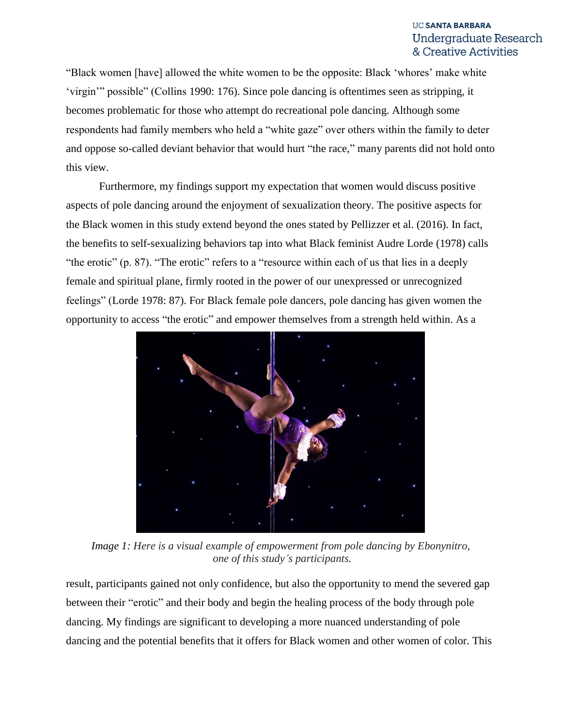"Black women [have] allowed the white women to be the opposite: Black 'whores' make white 'virgin'" possible" (Collins 1990: 176). Since pole dancing is oftentimes seen as stripping, it becomes problematic for those who attempt do recreational pole dancing. Although some respondents had family members who held a "white gaze" over others within the family to deter and oppose so-called deviant behavior that would hurt "the race," many parents did not hold onto this view.

Furthermore, my findings support my expectation that women would discuss positive aspects of pole dancing around the enjoyment of sexualization theory. The positive aspects for the Black women in this study extend beyond the ones stated by Pellizzer et al. (2016). In fact, the benefits to self-sexualizing behaviors tap into what Black feminist Audre Lorde (1978) calls "the erotic" (p. 87). "The erotic" refers to a "resource within each of us that lies in a deeply female and spiritual plane, firmly rooted in the power of our unexpressed or unrecognized feelings" (Lorde 1978: 87). For Black female pole dancers, pole dancing has given women the opportunity to access "the erotic" and empower themselves from a strength held within. As a



*Image 1: Here is a visual example of empowerment from pole dancing by Ebonynitro, one of this study's participants.*

result, participants gained not only confidence, but also the opportunity to mend the severed gap between their "erotic" and their body and begin the healing process of the body through pole dancing. My findings are significant to developing a more nuanced understanding of pole dancing and the potential benefits that it offers for Black women and other women of color. This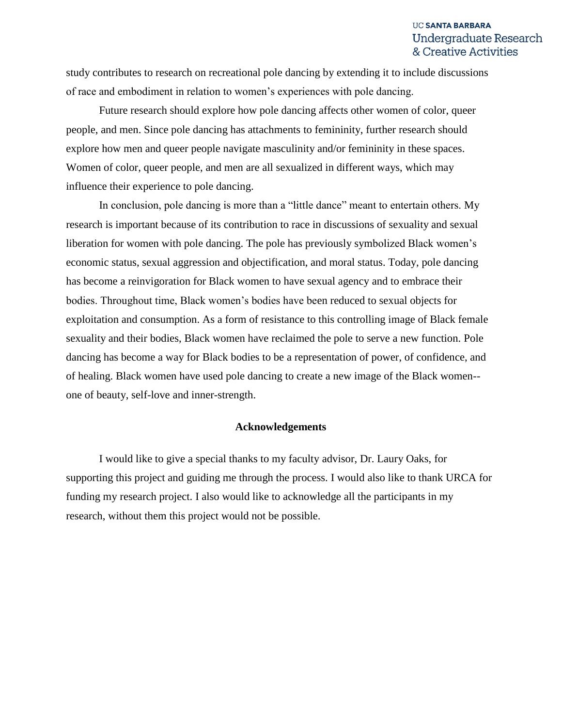study contributes to research on recreational pole dancing by extending it to include discussions of race and embodiment in relation to women's experiences with pole dancing.

Future research should explore how pole dancing affects other women of color, queer people, and men. Since pole dancing has attachments to femininity, further research should explore how men and queer people navigate masculinity and/or femininity in these spaces. Women of color, queer people, and men are all sexualized in different ways, which may influence their experience to pole dancing.

In conclusion, pole dancing is more than a "little dance" meant to entertain others. My research is important because of its contribution to race in discussions of sexuality and sexual liberation for women with pole dancing. The pole has previously symbolized Black women's economic status, sexual aggression and objectification, and moral status. Today, pole dancing has become a reinvigoration for Black women to have sexual agency and to embrace their bodies. Throughout time, Black women's bodies have been reduced to sexual objects for exploitation and consumption. As a form of resistance to this controlling image of Black female sexuality and their bodies, Black women have reclaimed the pole to serve a new function. Pole dancing has become a way for Black bodies to be a representation of power, of confidence, and of healing. Black women have used pole dancing to create a new image of the Black women- one of beauty, self-love and inner-strength.

### **Acknowledgements**

I would like to give a special thanks to my faculty advisor, Dr. Laury Oaks, for supporting this project and guiding me through the process. I would also like to thank URCA for funding my research project. I also would like to acknowledge all the participants in my research, without them this project would not be possible.